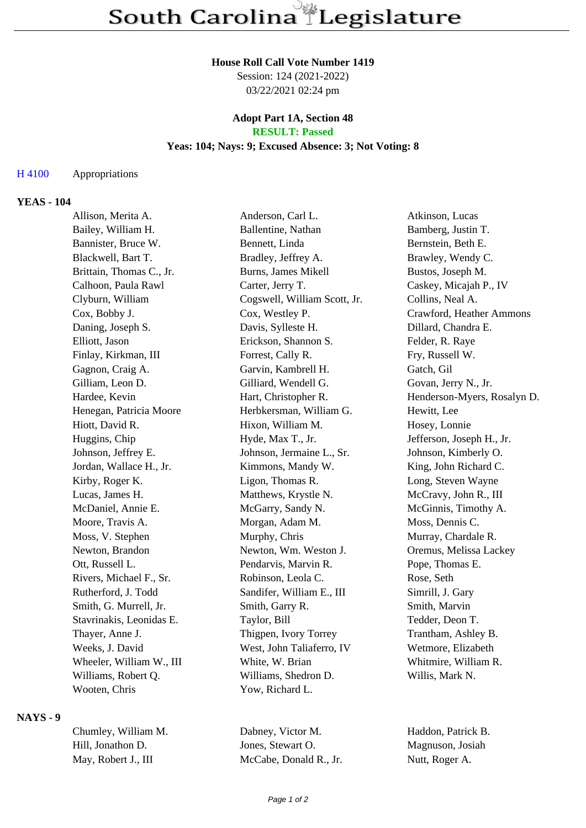# **House Roll Call Vote Number 1419**

Session: 124 (2021-2022) 03/22/2021 02:24 pm

# **Adopt Part 1A, Section 48 RESULT: Passed**

# **Yeas: 104; Nays: 9; Excused Absence: 3; Not Voting: 8**

# H 4100 Appropriations

# **YEAS - 104**

| Allison, Merita A.       | Anderson, Carl L.            | Atkinson, Lucas             |
|--------------------------|------------------------------|-----------------------------|
| Bailey, William H.       | Ballentine, Nathan           | Bamberg, Justin T.          |
| Bannister, Bruce W.      | Bennett, Linda               | Bernstein, Beth E.          |
| Blackwell, Bart T.       | Bradley, Jeffrey A.          | Brawley, Wendy C.           |
| Brittain, Thomas C., Jr. | Burns, James Mikell          | Bustos, Joseph M.           |
| Calhoon, Paula Rawl      | Carter, Jerry T.             | Caskey, Micajah P., IV      |
| Clyburn, William         | Cogswell, William Scott, Jr. | Collins, Neal A.            |
| Cox, Bobby J.            | Cox, Westley P.              | Crawford, Heather Ammons    |
| Daning, Joseph S.        | Davis, Sylleste H.           | Dillard, Chandra E.         |
| Elliott, Jason           | Erickson, Shannon S.         | Felder, R. Raye             |
| Finlay, Kirkman, III     | Forrest, Cally R.            | Fry, Russell W.             |
| Gagnon, Craig A.         | Garvin, Kambrell H.          | Gatch, Gil                  |
| Gilliam, Leon D.         | Gilliard, Wendell G.         | Govan, Jerry N., Jr.        |
| Hardee, Kevin            | Hart, Christopher R.         | Henderson-Myers, Rosalyn D. |
| Henegan, Patricia Moore  | Herbkersman, William G.      | Hewitt, Lee                 |
| Hiott, David R.          | Hixon, William M.            | Hosey, Lonnie               |
| Huggins, Chip            | Hyde, Max T., Jr.            | Jefferson, Joseph H., Jr.   |
| Johnson, Jeffrey E.      | Johnson, Jermaine L., Sr.    | Johnson, Kimberly O.        |
| Jordan, Wallace H., Jr.  | Kimmons, Mandy W.            | King, John Richard C.       |
| Kirby, Roger K.          | Ligon, Thomas R.             | Long, Steven Wayne          |
| Lucas, James H.          | Matthews, Krystle N.         | McCravy, John R., III       |
| McDaniel, Annie E.       | McGarry, Sandy N.            | McGinnis, Timothy A.        |
| Moore, Travis A.         | Morgan, Adam M.              | Moss, Dennis C.             |
| Moss, V. Stephen         | Murphy, Chris                | Murray, Chardale R.         |
| Newton, Brandon          | Newton, Wm. Weston J.        | Oremus, Melissa Lackey      |
| Ott, Russell L.          | Pendarvis, Marvin R.         | Pope, Thomas E.             |
| Rivers, Michael F., Sr.  | Robinson, Leola C.           | Rose, Seth                  |
| Rutherford, J. Todd      | Sandifer, William E., III    | Simrill, J. Gary            |
| Smith, G. Murrell, Jr.   | Smith, Garry R.              | Smith, Marvin               |
| Stavrinakis, Leonidas E. | Taylor, Bill                 | Tedder, Deon T.             |
| Thayer, Anne J.          | Thigpen, Ivory Torrey        | Trantham, Ashley B.         |
| Weeks, J. David          | West, John Taliaferro, IV    | Wetmore, Elizabeth          |
| Wheeler, William W., III | White, W. Brian              | Whitmire, William R.        |
| Williams, Robert Q.      | Williams, Shedron D.         | Willis, Mark N.             |
| Wooten, Chris            | Yow, Richard L.              |                             |
|                          |                              |                             |

#### **NAYS - 9**

Chumley, William M. Dabney, Victor M. Haddon, Patrick B. Hill, Jonathon D. Jones, Stewart O. Magnuson, Josiah May, Robert J., III McCabe, Donald R., Jr. Nutt, Roger A.